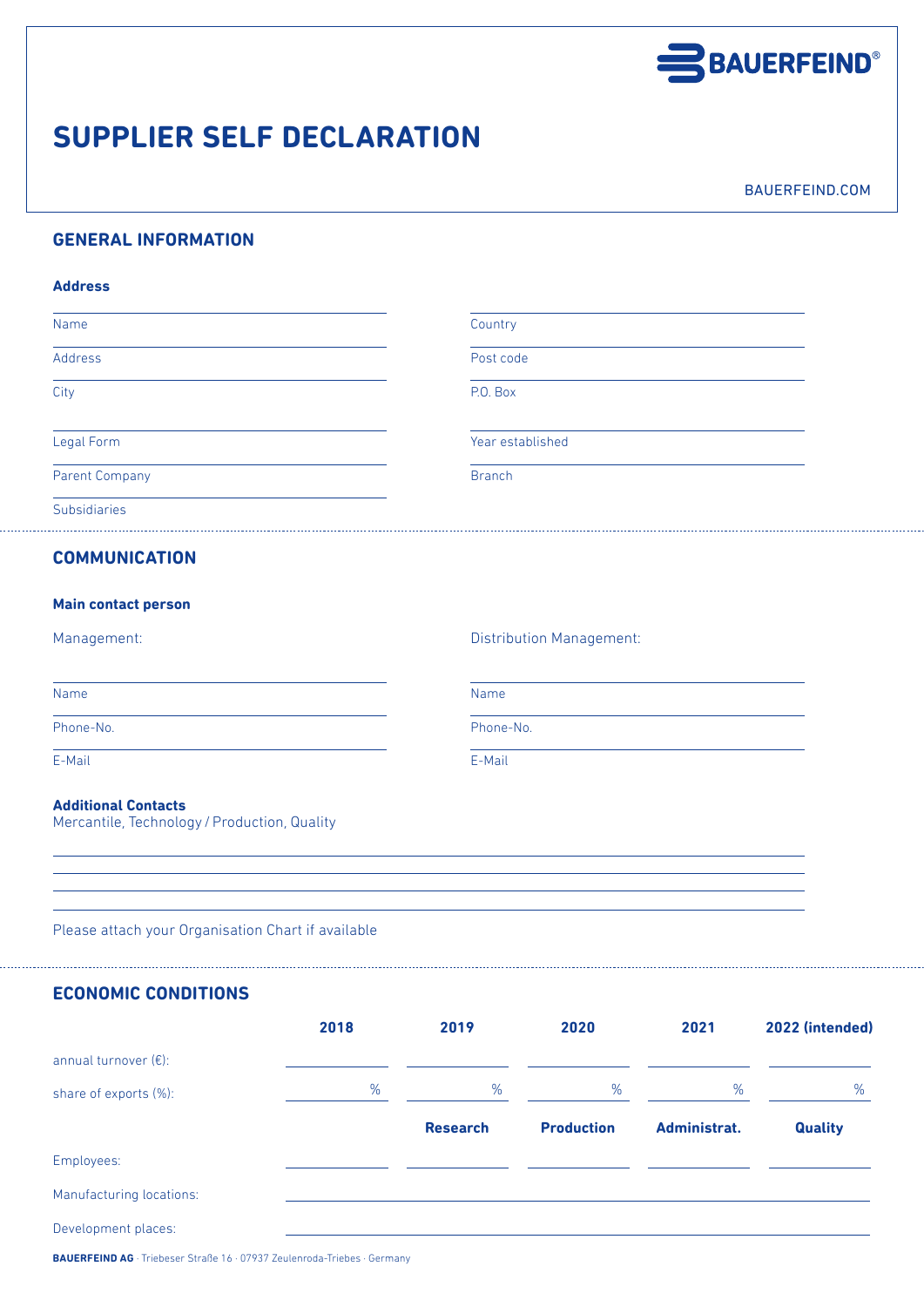

# **SUPPLIER SELF DECLARATION**

BAUERFEIND.COM

## **GENERAL INFORMATION**

### **Address**

| Name                  | Country          |  |
|-----------------------|------------------|--|
| Address               | Post code        |  |
| City                  | P.O. Box         |  |
| Legal Form            | Year established |  |
| <b>Parent Company</b> | <b>Branch</b>    |  |
| <b>Subsidiaries</b>   |                  |  |

## **COMMUNICATION**

| <b>Main contact person</b> |  |
|----------------------------|--|
|----------------------------|--|

Management: Distribution Management:

Phone-No. Phone-No.

E-Mail E-Mail

#### **Additional Contacts**

Mercantile, Technology / Production, Quality

Name Name

Please attach your Organisation Chart if available

**ECONOMIC CONDITIONS**

|                          | 2018 | 2019            | 2020              | 2021         | 2022 (intended) |
|--------------------------|------|-----------------|-------------------|--------------|-----------------|
| annual turnover $(E)$ :  |      |                 |                   |              |                 |
| share of exports (%):    | %    | %               | %                 | %            | %               |
|                          |      | <b>Research</b> | <b>Production</b> | Administrat. | <b>Quality</b>  |
| Employees:               |      |                 |                   |              |                 |
| Manufacturing locations: |      |                 |                   |              |                 |
| Development places:      |      |                 |                   |              |                 |